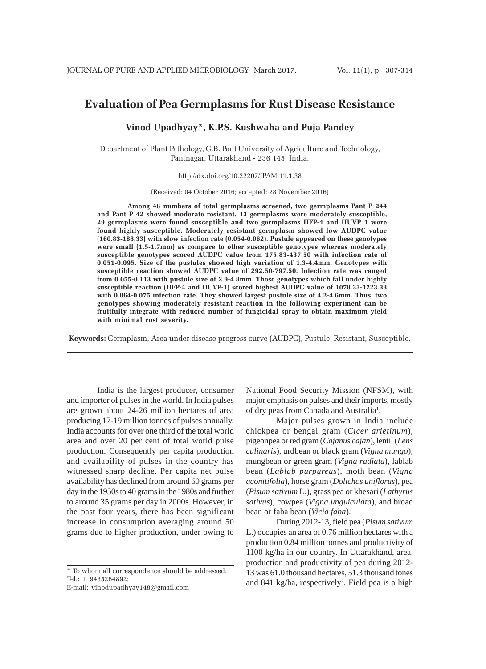# **Evaluation of Pea Germplasms for Rust Disease Resistance**

### **Vinod Upadhyay\*, K.P.S. Kushwaha and Puja Pandey**

Department of Plant Pathology, G.B. Pant University of Agriculture and Technology, Pantnagar, Uttarakhand - 236 145, India.

http://dx.doi.org/10.22207/JPAM.11.1.38

(Received: 04 October 2016; accepted: 28 November 2016)

**Among 46 numbers of total germplasms screened, two germplasms Pant P 244 and Pant P 42 showed moderate resistant, 13 germplasms were moderately susceptible, 29 germplasms were found susceptible and two germplasms HFP-4 and HUVP 1 were found highly susceptible. Moderately resistant germplasm showed low AUDPC value (160.83-188.33) with slow infection rate (0.054-0.062). Pustule appeared on these genotypes were small (1.5-1.7mm) as compare to other susceptible genotypes whereas moderately susceptible genotypes scored AUDPC value from 175.83-437.50 with infection rate of 0.051-0.095. Size of the pustules showed high variation of 1.3-4.4mm. Genotypes with susceptible reaction showed AUDPC value of 292.50-797.50. Infection rate was ranged from 0.055-0.113 with pustule size of 2.9-4.8mm. Those genotypes which fall under highly susceptible reaction (HFP-4 and HUVP-1) scored highest AUDPC value of 1078.33-1223.33 with 0.064-0.075 infection rate. They showed largest pustule size of 4.2-4.6mm. Thus, two genotypes showing moderately resistant reaction in the following experiment can be fruitfully integrate with reduced number of fungicidal spray to obtain maximum yield with minimal rust severity.**

**Keywords:** Germplasm, Area under disease progress curve (AUDPC), Pustule, Resistant, Susceptible.

India is the largest producer, consumer and importer of pulses in the world. In India pulses are grown about 24-26 million hectares of area producing 17-19 million tonnes of pulses annually. India accounts for over one third of the total world area and over 20 per cent of total world pulse production. Consequently per capita production and availability of pulses in the country has witnessed sharp decline. Per capita net pulse availability has declined from around 60 grams per day in the 1950s to 40 grams in the 1980s and further to around 35 grams per day in 2000s. However, in the past four years, there has been significant increase in consumption averaging around 50 grams due to higher production, under owing to

National Food Security Mission (NFSM), with major emphasis on pulses and their imports, mostly of dry peas from Canada and Australia<sup>1</sup>.

Major pulses grown in India include chickpea or bengal gram (*Cicer arietinum*), pigeonpea or red gram (*Cajanus cajan*), lentil (*Lens culinaris*), urdbean or black gram (*Vigna mungo*), mungbean or green gram (*Vigna radiata*), lablab bean (*Lablab purpureus*), moth bean (*Vigna aconitifolia*), horse gram (*Dolichos uniflorus*), pea (*Pisum sativum* L.), grass pea or khesari (*Lathyrus sativus*), cowpea (*Vigna unguiculata*), and broad bean or faba bean (*Vicia faba*).

During 2012-13, field pea (*Pisum sativum* L.) occupies an area of 0.76 million hectares with a production 0.84 million tonnes and productivity of 1100 kg/ha in our country. In Uttarakhand, area, production and productivity of pea during 2012- 13 was 61.0 thousand hectares, 51.3 thousand tones and 841 kg/ha, respectively<sup>2</sup>. Field pea is a high

<sup>\*</sup> To whom all correspondence should be addressed. Tel.: + 9435264892;

E-mail: vinodupadhyay148@gmail.com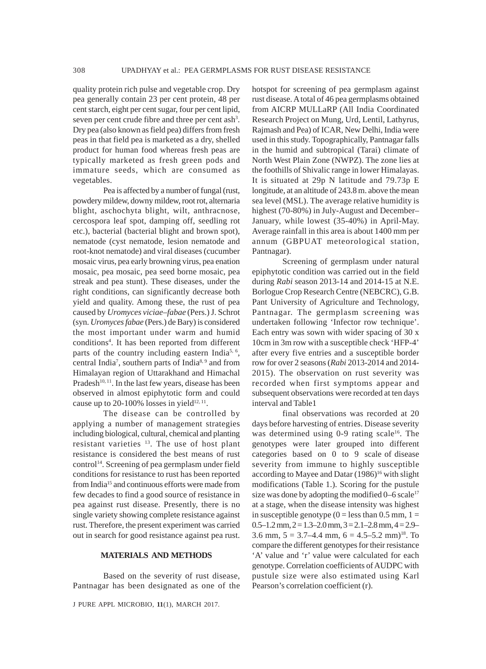quality protein rich pulse and vegetable crop. Dry pea generally contain 23 per cent protein, 48 per cent starch, eight per cent sugar, four per cent lipid, seven per cent crude fibre and three per cent  $ash<sup>3</sup>$ . Dry pea (also known as field pea) differs from fresh peas in that field pea is marketed as a dry, shelled product for human food whereas fresh peas are typically marketed as fresh green pods and immature seeds, which are consumed as vegetables.

Pea is affected by a number of fungal (rust, powdery mildew, downy mildew, root rot, alternaria blight, aschochyta blight, wilt, anthracnose, cercospora leaf spot, damping off, seedling rot etc.), bacterial (bacterial blight and brown spot), nematode (cyst nematode, lesion nematode and root-knot nematode) and viral diseases (cucumber mosaic virus, pea early browning virus, pea enation mosaic, pea mosaic, pea seed borne mosaic, pea streak and pea stunt). These diseases, under the right conditions, can significantly decrease both yield and quality. Among these, the rust of pea caused by *Uromyces viciae–fabae* (Pers.) J. Schrot (syn. *Uromyces fabae* (Pers.) de Bary) is considered the most important under warm and humid conditions4 . It has been reported from different parts of the country including eastern India<sup>5,  $6$ </sup>, central India<sup>7</sup>, southern parts of India<sup>8, 9</sup> and from Himalayan region of Uttarakhand and Himachal Pradesh $10, 11$ . In the last few years, disease has been observed in almost epiphytotic form and could cause up to 20-100% losses in yield $12,11$ .

The disease can be controlled by applying a number of management strategies including biological, cultural, chemical and planting resistant varieties  $13$ . The use of host plant resistance is considered the best means of rust control<sup>14</sup>. Screening of pea germplasm under field conditions for resistance to rust has been reported from India15 and continuous efforts were made from few decades to find a good source of resistance in pea against rust disease. Presently, there is no single variety showing complete resistance against rust. Therefore, the present experiment was carried out in search for good resistance against pea rust.

#### **MATERIALS AND METHODS**

Based on the severity of rust disease, Pantnagar has been designated as one of the

J PURE APPL MICROBIO*,* **11**(1), MARCH 2017.

hotspot for screening of pea germplasm against rust disease. A total of 46 pea germplasms obtained from AICRP MULLaRP (All India Coordinated Research Project on Mung, Urd, Lentil, Lathyrus, Rajmash and Pea) of ICAR, New Delhi, India were used in this study. Topographically, Pantnagar falls in the humid and subtropical (Tarai) climate of North West Plain Zone (NWPZ). The zone lies at the foothills of Shivalic range in lower Himalayas. It is situated at 29p N latitude and 79.73p E longitude, at an altitude of 243.8 m. above the mean sea level (MSL). The average relative humidity is highest (70-80%) in July-August and December– January, while lowest (35-40%) in April-May. Average rainfall in this area is about 1400 mm per annum (GBPUAT meteorological station, Pantnagar).

Screening of germplasm under natural epiphytotic condition was carried out in the field during *Rabi* season 2013-14 and 2014-15 at N.E. Borlogue Crop Research Centre (NEBCRC), G.B. Pant University of Agriculture and Technology, Pantnagar. The germplasm screening was undertaken following 'Infector row technique'. Each entry was sown with wider spacing of 30 x 10cm in 3m row with a susceptible check 'HFP-4' after every five entries and a susceptible border row for over 2 seasons (*Rabi* 2013-2014 and 2014- 2015). The observation on rust severity was recorded when first symptoms appear and subsequent observations were recorded at ten days interval and Table1

final observations was recorded at 20 days before harvesting of entries. Disease severity was determined using 0-9 rating scale<sup>16</sup>. The genotypes were later grouped into different categories based on 0 to 9 scale of disease severity from immune to highly susceptible according to Mayee and Datar  $(1986)^{16}$  with slight modifications (Table 1.). Scoring for the pustule size was done by adopting the modified  $0-6$  scale<sup>17</sup> at a stage, when the disease intensity was highest in susceptible genotype  $(0 =$  less than 0.5 mm,  $1 =$  $0.5-1.2$  mm,  $2 = 1.3-2.0$  mm,  $3 = 2.1-2.8$  mm,  $4 = 2.9-$ 3.6 mm,  $5 = 3.7 - 4.4$  mm,  $6 = 4.5 - 5.2$  mm)<sup>18</sup>. To compare the different genotypes for their resistance 'A' value and 'r' value were calculated for each genotype. Correlation coefficients of AUDPC with pustule size were also estimated using Karl Pearson's correlation coefficient (r).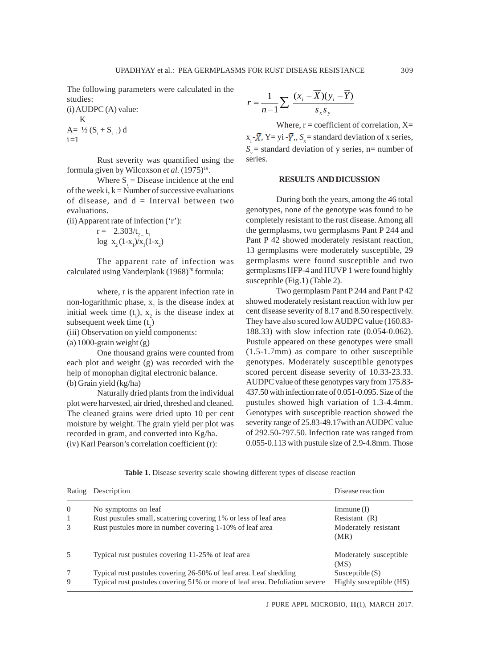The following parameters were calculated in the studies:

 $(i)$  AUDPC $(A)$  value: K A=  $\frac{1}{2}$  (S<sub>i</sub> + S<sub>i-1</sub>) d  $i = 1$ 

Rust severity was quantified using the formula given by Wilcoxson *et al.* (1975)<sup>19</sup>.

Where  $S_i$  = Disease incidence at the end of the week i,  $k =$ Number of successive evaluations of disease, and  $d =$  Interval between two evaluations.

(ii) Apparent rate of infection ('r'):

 $r = 2.303/t_{2-}t_1$  $\log x_2(1-x_1)/x_1(1-x_2)$ 

The apparent rate of infection was calculated using Vanderplank  $(1968)^{20}$  formula:

where, r is the apparent infection rate in non-logarithmic phase,  $x_1$  is the disease index at initial week time  $(t_1)$ ,  $x_2$  is the disease index at subsequent week time  $(t_2)$ 

(iii) Observation on yield components:

(a) 1000-grain weight (g)

One thousand grains were counted from each plot and weight (g) was recorded with the help of monophan digital electronic balance. (b) Grain yield (kg/ha)

Naturally dried plants from the individual plot were harvested, air dried, threshed and cleaned. The cleaned grains were dried upto 10 per cent moisture by weight. The grain yield per plot was recorded in gram, and converted into Kg/ha. (iv) Karl Pearson's correlation coefficient (r):

$$
r = \frac{1}{n-1} \sum \frac{(x_i - \overline{X})(y_i - \overline{Y})}{s_x s_y}
$$

Where,  $r =$  coefficient of correlation,  $X =$ 

 $x_i - \overline{X}$ ,  $Y = yi - \overline{Y}$ ,  $S =$  standard deviation of x series,  $S_y$  = standard deviation of y series, n= number of series.

#### **RESULTS AND DICUSSION**

During both the years, among the 46 total genotypes, none of the genotype was found to be completely resistant to the rust disease. Among all the germplasms, two germplasms Pant P 244 and Pant P 42 showed moderately resistant reaction, 13 germplasms were moderately susceptible, 29 germplasms were found susceptible and two germplasms HFP-4 and HUVP 1 were found highly susceptible (Fig.1) (Table 2).

Two germplasm Pant P 244 and Pant P 42 showed moderately resistant reaction with low per cent disease severity of 8.17 and 8.50 respectively. They have also scored low AUDPC value (160.83- 188.33) with slow infection rate (0.054-0.062). Pustule appeared on these genotypes were small (1.5-1.7mm) as compare to other susceptible genotypes. Moderately susceptible genotypes scored percent disease severity of 10.33-23.33. AUDPC value of these genotypes vary from 175.83- 437.50 with infection rate of 0.051-0.095. Size of the pustules showed high variation of 1.3-4.4mm. Genotypes with susceptible reaction showed the severity range of 25.83-49.17with an AUDPC value of 292.50-797.50. Infection rate was ranged from 0.055-0.113 with pustule size of 2.9-4.8mm. Those

Table 1. Disease severity scale showing different types of disease reaction

| Rating             | Description                                                                                                                                         | Disease reaction                                             |
|--------------------|-----------------------------------------------------------------------------------------------------------------------------------------------------|--------------------------------------------------------------|
| $\theta$<br>1<br>3 | No symptoms on leaf<br>Rust pustules small, scattering covering 1% or less of leaf area<br>Rust pustules more in number covering 1-10% of leaf area | Immune(I)<br>Resistant $(R)$<br>Moderately resistant<br>(MR) |
| 5                  | Typical rust pustules covering 11-25% of leaf area                                                                                                  | Moderately susceptible<br>(MS)                               |
| 9                  | Typical rust pustules covering 26-50% of leaf area. Leaf shedding<br>Typical rust pustules covering 51% or more of leaf area. Defoliation severe    | Susceptible $(S)$<br>Highly susceptible (HS)                 |

J PURE APPL MICROBIO*,* **11**(1), MARCH 2017.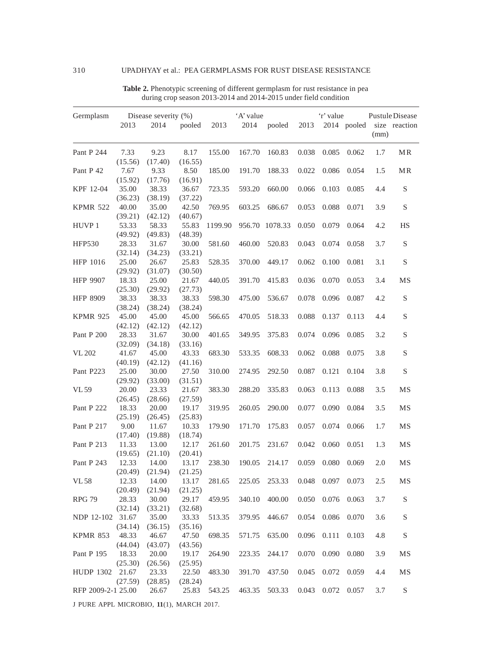| Germplasm                                | Disease severity $(\%)$ |         |         | 'A' value |        |         | 'r' value |             |             | Pustule Disease |                |
|------------------------------------------|-------------------------|---------|---------|-----------|--------|---------|-----------|-------------|-------------|-----------------|----------------|
|                                          | 2013                    | 2014    | pooled  | 2013      | 2014   | pooled  | 2013      |             | 2014 pooled | (mm)            | size reaction  |
| Pant P 244                               | 7.33                    | 9.23    | 8.17    | 155.00    | 167.70 | 160.83  | 0.038     | 0.085       | 0.062       | 1.7             | <b>MR</b>      |
|                                          | (15.56)                 | (17.40) | (16.55) |           |        |         |           |             |             |                 |                |
| Pant P 42                                | 7.67                    | 9.33    | 8.50    | 185.00    | 191.70 | 188.33  | 0.022     | 0.086       | 0.054       | 1.5             | MR             |
|                                          | (15.92)                 | (17.76) | (16.91) |           |        |         |           |             |             |                 |                |
| KPF 12-04                                | 35.00                   | 38.33   | 36.67   | 723.35    | 593.20 | 660.00  | 0.066     | 0.103       | 0.085       | 4.4             | ${\bf S}$      |
|                                          | (36.23)                 | (38.19) | (37.22) |           |        |         |           |             |             |                 |                |
| <b>KPMR 522</b>                          | 40.00                   | 35.00   | 42.50   | 769.95    | 603.25 | 686.67  | 0.053     | 0.088       | 0.071       | 3.9             | ${\bf S}$      |
|                                          | (39.21)                 | (42.12) | (40.67) |           |        |         |           |             |             |                 |                |
| HUVP <sub>1</sub>                        | 53.33                   | 58.33   | 55.83   | 1199.90   | 956.70 | 1078.33 | 0.050     | 0.079       | 0.064       | 4.2             | HS             |
|                                          | (49.92)                 | (49.83) | (48.39) |           |        |         |           |             |             |                 |                |
| <b>HFP530</b>                            | 28.33                   | 31.67   | 30.00   | 581.60    | 460.00 | 520.83  | 0.043     | 0.074       | 0.058       | 3.7             | ${\bf S}$      |
|                                          | (32.14)                 | (34.23) | (33.21) |           |        |         |           |             |             |                 |                |
| HFP 1016                                 | 25.00                   | 26.67   | 25.83   | 528.35    | 370.00 | 449.17  | 0.062     | 0.100       | 0.081       | 3.1             | ${\mathcal S}$ |
|                                          | (29.92)                 | (31.07) | (30.50) |           |        |         |           |             |             |                 |                |
| <b>HFP 9907</b>                          | 18.33                   | 25.00   | 21.67   | 440.05    | 391.70 | 415.83  | 0.036     | 0.070       | 0.053       | 3.4             | <b>MS</b>      |
|                                          | (25.30)                 | (29.92) | (27.73) |           |        |         |           |             |             |                 |                |
| <b>HFP 8909</b>                          | 38.33                   | 38.33   | 38.33   | 598.30    | 475.00 | 536.67  | 0.078     | 0.096       | 0.087       | 4.2             | ${\bf S}$      |
|                                          | (38.24)                 | (38.24) | (38.24) |           |        |         |           |             |             |                 |                |
| <b>KPMR 925</b>                          | 45.00                   | 45.00   | 45.00   | 566.65    | 470.05 | 518.33  | 0.088     | 0.137       | 0.113       | 4.4             | ${\mathcal S}$ |
|                                          | (42.12)                 | (42.12) | (42.12) |           |        |         |           |             |             |                 |                |
| Pant P 200                               | 28.33                   | 31.67   | 30.00   | 401.65    | 349.95 | 375.83  | 0.074     | 0.096       | 0.085       | 3.2             | ${\mathcal S}$ |
|                                          | (32.09)                 | (34.18) | (33.16) |           |        |         |           |             |             |                 |                |
| <b>VL 202</b>                            | 41.67                   | 45.00   | 43.33   | 683.30    | 533.35 | 608.33  | 0.062     | 0.088       | 0.075       | 3.8             | ${\mathcal S}$ |
|                                          | (40.19)                 | (42.12) | (41.16) |           |        |         |           |             |             |                 |                |
| Pant P223                                | 25.00                   | 30.00   | 27.50   | 310.00    | 274.95 | 292.50  | 0.087     | 0.121       | 0.104       | 3.8             | ${\bf S}$      |
|                                          | (29.92)                 | (33.00) | (31.51) |           |        |         |           |             |             |                 |                |
| VL 59                                    | 20.00                   | 23.33   | 21.67   | 383.30    | 288.20 | 335.83  | 0.063     | 0.113       | 0.088       | 3.5             | <b>MS</b>      |
|                                          | (26.45)                 | (28.66) | (27.59) |           |        |         |           |             |             |                 |                |
| Pant P 222                               | 18.33                   | 20.00   | 19.17   | 319.95    | 260.05 | 290.00  | 0.077     | 0.090       | 0.084       | 3.5             | MS             |
|                                          | (25.19)                 | (26.45) | (25.83) |           |        |         |           |             |             |                 |                |
| Pant P 217                               | 9.00                    | 11.67   | 10.33   | 179.90    | 171.70 | 175.83  | 0.057     | 0.074       | 0.066       | 1.7             | <b>MS</b>      |
|                                          | (17.40)                 | (19.88) | (18.74) |           |        |         |           |             |             |                 |                |
| Pant P 213                               | 11.33                   | 13.00   | 12.17   | 261.60    | 201.75 | 231.67  | 0.042     | 0.060       | 0.051       | 1.3             | MS             |
|                                          | (19.65)                 | (21.10) | (20.41) |           |        |         |           |             |             |                 |                |
| Pant P 243                               | 12.33                   | 14.00   | 13.17   | 238.30    | 190.05 | 214.17  | 0.059     | 0.080       | 0.069       | 2.0             | <b>MS</b>      |
|                                          | (20.49)                 | (21.94) | (21.25) |           |        |         |           |             |             |                 |                |
| <b>VL 58</b>                             | 12.33                   | 14.00   | 13.17   | 281.65    | 225.05 | 253.33  | 0.048     | 0.097       | 0.073       | 2.5             | <b>MS</b>      |
|                                          | (20.49)                 | (21.94) | (21.25) |           |        |         |           |             |             |                 |                |
| <b>RPG 79</b>                            | 28.33                   | 30.00   | 29.17   | 459.95    | 340.10 | 400.00  |           | 0.050 0.076 | 0.063       | 3.7             | S              |
|                                          | (32.14)                 | (33.21) | (32.68) |           |        |         |           |             |             |                 |                |
| NDP 12-102 31.67                         |                         | 35.00   | 33.33   | 513.35    | 379.95 | 446.67  | 0.054     | 0.086       | 0.070       | 3.6             | $\mathbf S$    |
|                                          | (34.14)                 | (36.15) | (35.16) |           |        |         |           |             |             |                 |                |
| <b>KPMR 853</b>                          | 48.33                   | 46.67   | 47.50   | 698.35    | 571.75 | 635.00  | 0.096     | 0.111       | 0.103       | 4.8             | ${\mathcal S}$ |
|                                          | (44.04)                 | (43.07) | (43.56) |           |        |         |           |             |             |                 |                |
| Pant P 195                               | 18.33                   | 20.00   | 19.17   | 264.90    | 223.35 | 244.17  | 0.070     | 0.090       | 0.080       | 3.9             | <b>MS</b>      |
|                                          | (25.30)                 | (26.56) | (25.95) |           |        |         |           |             |             |                 |                |
| <b>HUDP 1302</b>                         | 21.67                   | 23.33   | 22.50   | 483.30    | 391.70 | 437.50  | 0.045     | 0.072       | 0.059       | 4.4             | <b>MS</b>      |
|                                          | (27.59)                 | (28.85) | (28.24) |           |        |         |           |             |             |                 |                |
| RFP 2009-2-1 25.00                       |                         | 26.67   | 25.83   | 543.25    | 463.35 | 503.33  | 0.043     | 0.072       | 0.057       | 3.7             | ${\mathcal S}$ |
| J PURE APPL MICROBIO, 11(1), MARCH 2017. |                         |         |         |           |        |         |           |             |             |                 |                |

**Table 2.** Phenotypic screening of different germplasm for rust resistance in pea during crop season 2013-2014 and 2014-2015 under field condition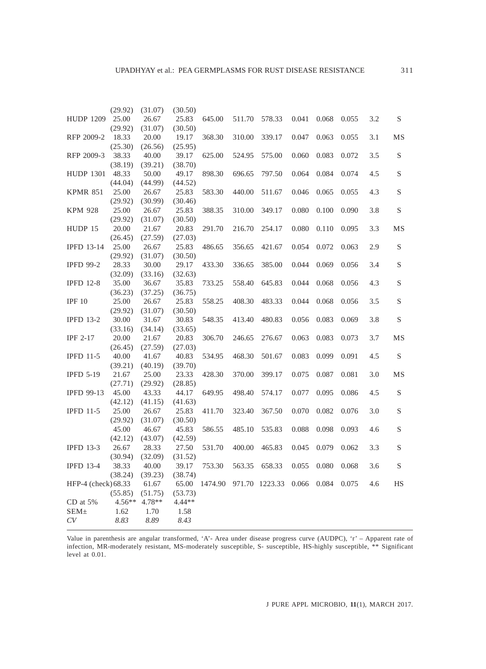|                     | (29.92)          | (31.07)          | (30.50)          |         |        |         |       |       |       |     |                |
|---------------------|------------------|------------------|------------------|---------|--------|---------|-------|-------|-------|-----|----------------|
| <b>HUDP 1209</b>    | 25.00            | 26.67            | 25.83            | 645.00  | 511.70 | 578.33  | 0.041 | 0.068 | 0.055 | 3.2 | ${\mathcal S}$ |
|                     | (29.92)          | (31.07)          | (30.50)          |         |        |         |       |       |       |     |                |
| RFP 2009-2          | 18.33            | 20.00            | 19.17            | 368.30  | 310.00 | 339.17  | 0.047 | 0.063 | 0.055 | 3.1 | MS             |
|                     | (25.30)          | (26.56)          | (25.95)          |         |        |         |       |       |       |     |                |
| RFP 2009-3          | 38.33            | 40.00            | 39.17            | 625.00  | 524.95 | 575.00  | 0.060 | 0.083 | 0.072 | 3.5 | $\mathbf S$    |
|                     | (38.19)          | (39.21)          | (38.70)          |         |        |         |       |       |       |     |                |
| <b>HUDP 1301</b>    | 48.33            | 50.00            | 49.17            | 898.30  | 696.65 | 797.50  | 0.064 | 0.084 | 0.074 | 4.5 | $\mathbf S$    |
|                     | (44.04)          | (44.99)          | (44.52)          |         |        |         |       |       |       |     |                |
| <b>KPMR 851</b>     | 25.00            | 26.67            | 25.83            | 583.30  | 440.00 | 511.67  | 0.046 | 0.065 | 0.055 | 4.3 | $\mathbf S$    |
|                     | (29.92)          | (30.99)          | (30.46)          |         |        |         |       |       |       |     |                |
| <b>KPM 928</b>      | 25.00            | 26.67            | 25.83            | 388.35  | 310.00 | 349.17  | 0.080 | 0.100 | 0.090 | 3.8 | S              |
|                     | (29.92)          | (31.07)          | (30.50)          |         |        |         |       |       |       |     |                |
| HUDP 15             | 20.00            | 21.67            | 20.83            | 291.70  | 216.70 | 254.17  | 0.080 | 0.110 | 0.095 | 3.3 | MS             |
|                     | (26.45)          | (27.59)          | (27.03)          |         |        |         |       |       |       |     |                |
| <b>IPFD 13-14</b>   | 25.00            | 26.67            | 25.83            | 486.65  | 356.65 | 421.67  | 0.054 | 0.072 | 0.063 | 2.9 | $\mathbf S$    |
|                     | (29.92)          | (31.07)          | (30.50)          |         |        |         |       |       |       |     |                |
| <b>IPFD 99-2</b>    | 28.33            | 30.00            | 29.17            | 433.30  | 336.65 | 385.00  | 0.044 | 0.069 | 0.056 | 3.4 | $\mathbf S$    |
|                     | (32.09)          | (33.16)          | (32.63)          |         |        |         |       |       |       |     |                |
| <b>IPFD 12-8</b>    | 35.00            | 36.67            | 35.83            | 733.25  | 558.40 | 645.83  | 0.044 | 0.068 | 0.056 | 4.3 | S              |
|                     | (36.23)          | (37.25)          | (36.75)          |         |        |         |       |       |       |     |                |
| IPF <sub>10</sub>   | 25.00            | 26.67            | 25.83            | 558.25  | 408.30 | 483.33  | 0.044 | 0.068 | 0.056 | 3.5 | $\mathbf S$    |
|                     | (29.92)          | (31.07)          | (30.50)          |         |        |         |       |       |       |     |                |
| <b>IPFD 13-2</b>    | 30.00            | 31.67            | 30.83            | 548.35  | 413.40 | 480.83  | 0.056 | 0.083 | 0.069 | 3.8 | $\mathbf S$    |
|                     | (33.16)          | (34.14)          | (33.65)          |         |        |         |       |       |       |     |                |
| <b>IPF 2-17</b>     | 20.00            | 21.67            | 20.83            | 306.70  | 246.65 | 276.67  | 0.063 | 0.083 | 0.073 | 3.7 | MS             |
|                     | (26.45)          | (27.59)          | (27.03)          |         |        |         |       |       |       |     |                |
| <b>IPFD 11-5</b>    | 40.00            | 41.67            | 40.83            | 534.95  | 468.30 | 501.67  | 0.083 | 0.099 | 0.091 | 4.5 | S              |
|                     | (39.21)          | (40.19)          | (39.70)          |         |        |         |       |       |       |     |                |
| <b>IPFD 5-19</b>    | 21.67            | 25.00            | 23.33            | 428.30  | 370.00 | 399.17  | 0.075 | 0.087 | 0.081 | 3.0 | MS             |
|                     | (27.71)          | (29.92)          | (28.85)          |         |        |         |       |       |       |     |                |
| <b>IPFD 99-13</b>   | 45.00            | 43.33            | 44.17            | 649.95  | 498.40 | 574.17  | 0.077 | 0.095 | 0.086 | 4.5 | ${\mathcal S}$ |
|                     | (42.12)          | (41.15)          | (41.63)          |         |        |         |       |       |       |     |                |
| <b>IPFD 11-5</b>    | 25.00            | 26.67            | 25.83            | 411.70  | 323.40 | 367.50  | 0.070 | 0.082 | 0.076 | 3.0 | ${\mathcal S}$ |
|                     | (29.92)          | (31.07)          | (30.50)          |         |        |         |       |       |       |     |                |
|                     | 45.00            | 46.67            | 45.83            | 586.55  | 485.10 | 535.83  | 0.088 | 0.098 | 0.093 | 4.6 | ${\bf S}$      |
|                     | (42.12)          | (43.07)          | (42.59)          |         |        |         |       |       |       |     |                |
| <b>IPFD 13-3</b>    | 26.67            | 28.33            | 27.50            | 531.70  | 400.00 | 465.83  | 0.045 | 0.079 | 0.062 | 3.3 | $\mathbf S$    |
| <b>IPFD 13-4</b>    | (30.94)<br>38.33 | (32.09)<br>40.00 | (31.52)<br>39.17 | 753.30  | 563.35 | 658.33  | 0.055 | 0.080 | 0.068 | 3.6 | $\mathbf S$    |
|                     | (38.24)          | (39.23)          | (38.74)          |         |        |         |       |       |       |     |                |
| HFP-4 (check) 68.33 |                  | 61.67            | 65.00            | 1474.90 |        | 1223.33 | 0.066 | 0.084 | 0.075 |     | HS             |
|                     | (55.85)          | (51.75)          | (53.73)          |         | 971.70 |         |       |       |       | 4.6 |                |
| CD at 5%            | $4.56**$         | $4.78**$         | $4.44**$         |         |        |         |       |       |       |     |                |
| SEM <sub>±</sub>    | 1.62             | 1.70             | 1.58             |         |        |         |       |       |       |     |                |
| CV                  | 8.83             | 8.89             | 8.43             |         |        |         |       |       |       |     |                |
|                     |                  |                  |                  |         |        |         |       |       |       |     |                |

Value in parenthesis are angular transformed, 'A'- Area under disease progress curve (AUDPC), 'r' – Apparent rate of infection, MR-moderately resistant, MS-moderately susceptible, S- susceptible, HS-highly susceptible, \*\* Significant level at 0.01.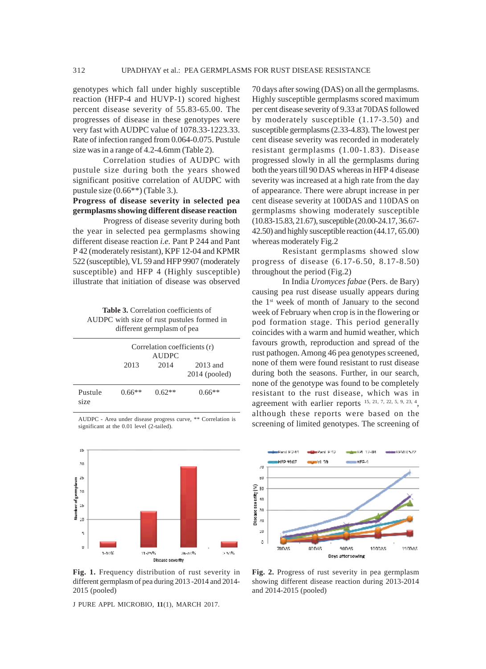genotypes which fall under highly susceptible reaction (HFP-4 and HUVP-1) scored highest percent disease severity of 55.83-65.00. The progresses of disease in these genotypes were very fast with AUDPC value of 1078.33-1223.33. Rate of infection ranged from 0.064-0.075. Pustule size was in a range of 4.2-4.6mm (Table 2).

Correlation studies of AUDPC with pustule size during both the years showed significant positive correlation of AUDPC with pustule size (0.66\*\*) (Table 3.).

## **Progress of disease severity in selected pea germplasms showing different disease reaction**

Progress of disease severity during both the year in selected pea germplasms showing different disease reaction *i.e.* Pant P 244 and Pant P 42 (moderately resistant), KPF 12-04 and KPMR 522 (susceptible), VL 59 and HFP 9907 (moderately susceptible) and HFP 4 (Highly susceptible) illustrate that initiation of disease was observed

**Table 3.** Correlation coefficients of AUDPC with size of rust pustules formed in different germplasm of pea

|                 | Correlation coefficients (r)<br><b>AUDPC</b> |          |                               |  |  |  |  |
|-----------------|----------------------------------------------|----------|-------------------------------|--|--|--|--|
|                 | 2013                                         | 2014     | $2013$ and<br>$2014$ (pooled) |  |  |  |  |
| Pustule<br>size | $0.66**$                                     | $0.62**$ | $0.66**$                      |  |  |  |  |

AUDPC - Area under disease progress curve, \*\* Correlation is significant at the 0.01 level (2-tailed).



**Fig. 1.** Frequency distribution of rust severity in different germplasm of pea during 2013 -2014 and 2014- 2015 (pooled)

J PURE APPL MICROBIO*,* **11**(1), MARCH 2017.

70 days after sowing (DAS) on all the germplasms. Highly susceptible germplasms scored maximum per cent disease severity of 9.33 at 70DAS followed by moderately susceptible (1.17-3.50) and susceptible germplasms (2.33-4.83). The lowest per cent disease severity was recorded in moderately resistant germplasms (1.00-1.83). Disease progressed slowly in all the germplasms during both the years till 90 DAS whereas in HFP 4 disease severity was increased at a high rate from the day of appearance. There were abrupt increase in per cent disease severity at 100DAS and 110DAS on germplasms showing moderately susceptible (10.83-15.83, 21.67), susceptible (20.00-24.17, 36.67- 42.50) and highly susceptible reaction (44.17, 65.00) whereas moderately Fig.2

Resistant germplasms showed slow progress of disease (6.17-6.50, 8.17-8.50) throughout the period (Fig.2)

In India *Uromyces fabae* (Pers. de Bary) causing pea rust disease usually appears during the 1<sup>st</sup> week of month of January to the second week of February when crop is in the flowering or pod formation stage. This period generally coincides with a warm and humid weather, which favours growth, reproduction and spread of the rust pathogen. Among 46 pea genotypes screened, none of them were found resistant to rust disease during both the seasons. Further, in our search, none of the genotype was found to be completely resistant to the rust disease, which was in agreement with earlier reports  $15, 21, 7, 22, 5, 9, 23, 4$ . although these reports were based on the screening of limited genotypes. The screening of



**Fig. 2.** Progress of rust severity in pea germplasm showing different disease reaction during 2013-2014 and 2014-2015 (pooled)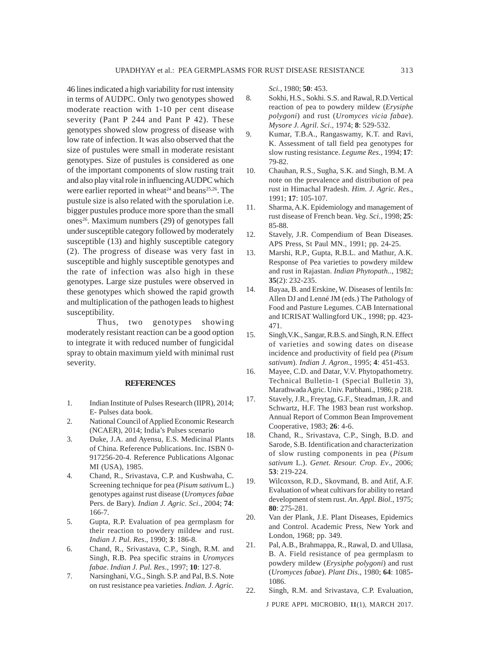46 lines indicated a high variability for rust intensity in terms of AUDPC. Only two genotypes showed moderate reaction with 1-10 per cent disease severity (Pant P 244 and Pant P 42). These genotypes showed slow progress of disease with low rate of infection. It was also observed that the size of pustules were small in moderate resistant genotypes. Size of pustules is considered as one of the important components of slow rusting trait and also play vital role in influencing AUDPC which were earlier reported in wheat<sup>24</sup> and beans<sup>25,26</sup>. The pustule size is also related with the sporulation i.e. bigger pustules produce more spore than the small ones<sup>26</sup>. Maximum numbers  $(29)$  of genotypes fall under susceptible category followed by moderately susceptible (13) and highly susceptible category (2). The progress of disease was very fast in susceptible and highly susceptible genotypes and the rate of infection was also high in these genotypes. Large size pustules were observed in these genotypes which showed the rapid growth and multiplication of the pathogen leads to highest susceptibility.

Thus, two genotypes showing moderately resistant reaction can be a good option to integrate it with reduced number of fungicidal spray to obtain maximum yield with minimal rust severity.

#### **REFERENCES**

- 1. Indian Institute of Pulses Research (IIPR), 2014; E- Pulses data book.
- 2. National Council of Applied Economic Research (NCAER), 2014; India's Pulses scenario
- 3. Duke, J.A. and Ayensu, E.S. Medicinal Plants of China. Reference Publications. Inc. ISBN 0- 917256-20-4. Reference Publications Algonac MI (USA), 1985.
- 4. Chand, R., Srivastava, C.P. and Kushwaha, C. Screening technique for pea (*Pisum sativum* L.) genotypes against rust disease (*Uromyces fabae* Pers. de Bary). *Indian J. Agric. Sci*., 2004; **74**: 166-7.
- 5. Gupta, R.P. Evaluation of pea germplasm for their reaction to powdery mildew and rust. *Indian J. Pul. Res*., 1990; **3**: 186-8.
- 6. Chand, R., Srivastava, C.P., Singh, R.M. and Singh, R.B. Pea specific strains in *Uromyces fabae*. *Indian J. Pul. Res*., 1997; **10**: 127-8.
- 7. Narsinghani, V.G., Singh. S.P. and Pal, B.S. Note on rust resistance pea varieties. *Indian. J. Agric.*

*Sci.*, 1980; **50**: 453.

- 8. Sokhi, H.S., Sokhi. S.S. and Rawal, R.D.Vertical reaction of pea to powdery mildew (*Erysiphe polygoni*) and rust (*Uromyces vicia fabae*). *Mysore J. Agril. Sci*., 1974; **8**: 529-532.
- 9. Kumar, T.B.A., Rangaswamy, K.T. and Ravi, K. Assessment of tall field pea genotypes for slow rusting resistance. *Legume Res.*, 1994; **17**: 79-82.
- 10. Chauhan, R.S., Sugha, S.K. and Singh, B.M. A note on the prevalence and distribution of pea rust in Himachal Pradesh. *Him. J. Agric. Res*., 1991; **17**: 105-107.
- 11. Sharma, A.K. Epidemiology and management of rust disease of French bean. *Veg. Sci.*, 1998; **25**: 85-88.
- 12. Stavely, J.R. Compendium of Bean Diseases. APS Press, St Paul MN., 1991; pp. 24-25.
- 13. Marshi, R.P., Gupta, R.B.L. and Mathur, A.K. Response of Pea varieties to powdery mildew and rust in Rajastan. *Indian Phytopath..*, 1982; **35**(2): 232-235.
- 14. Bayaa, B. and Erskine, W. Diseases of lentils In: Allen DJ and Lenné JM (eds.) The Pathology of Food and Pasture Legumes. CAB International and ICRISAT Wallingford UK., 1998; pp. 423- 471.
- 15. Singh,V.K., Sangar, R.B.S. and Singh, R.N. Effect of varieties and sowing dates on disease incidence and productivity of field pea (*Pisum sativum*). *Indian J. Agron.*, 1995; **4**: 451-453.
- 16. Mayee, C.D. and Datar, V.V. Phytopathometry. Technical Bulletin-1 (Special Bulletin 3), Marathwada Agric. Univ. Parbhani., 1986; p 218.
- 17. Stavely, J.R., Freytag, G.F., Steadman, J.R. and Schwartz, H.F. The 1983 bean rust workshop. Annual Report of Common Bean Improvement Cooperative, 1983; **26**: 4-6.
- 18. Chand, R., Srivastava, C.P., Singh, B.D. and Sarode, S.B. Identification and characterization of slow rusting components in pea (*Pisum sativum* L.). *Genet. Resour. Crop. Ev*., 2006; **53**: 219-224.
- 19. Wilcoxson, R.D., Skovmand, B. and Atif, A.F. Evaluation of wheat cultivars for ability to retard development of stem rust. *An. Appl. Biol.*, 1975; **80**: 275-281.
- 20. Van der Plank, J.E. Plant Diseases, Epidemics and Control. Academic Press, New York and London, 1968; pp. 349.
- 21. Pal, A.B., Brahmappa, R., Rawal, D. and Ullasa, B. A. Field resistance of pea germplasm to powdery mildew (*Erysiphe polygoni*) and rust (*Uromyces fabae*). *Plant Dis*., 1980; **64**: 1085- 1086.
- J PURE APPL MICROBIO*,* **11**(1), MARCH 2017. 22. Singh, R.M. and Srivastava, C.P. Evaluation,